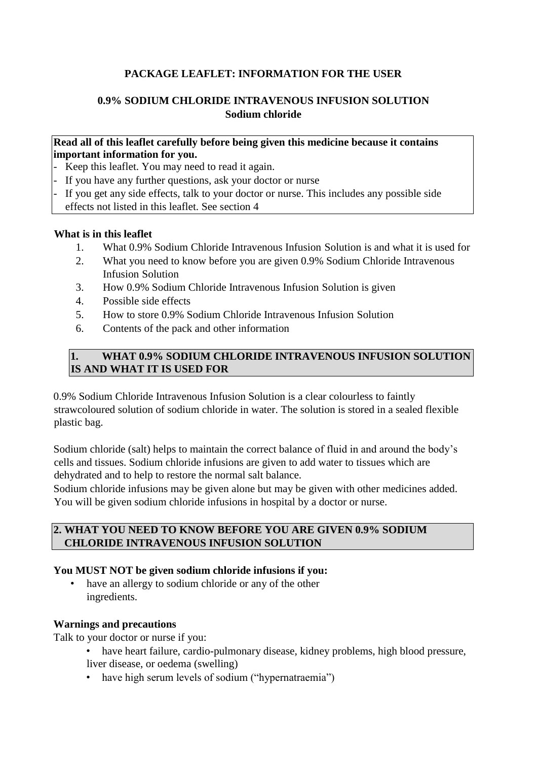# **PACKAGE LEAFLET: INFORMATION FOR THE USER**

# **0.9% SODIUM CHLORIDE INTRAVENOUS INFUSION SOLUTION Sodium chloride**

## **Read all of this leaflet carefully before being given this medicine because it contains important information for you.**

- Keep this leaflet. You may need to read it again.
- If you have any further questions, ask your doctor or nurse
- If you get any side effects, talk to your doctor or nurse. This includes any possible side effects not listed in this leaflet. See section 4

## **What is in this leaflet**

- 1. What 0.9% Sodium Chloride Intravenous Infusion Solution is and what it is used for
- 2. What you need to know before you are given 0.9% Sodium Chloride Intravenous Infusion Solution
- 3. How 0.9% Sodium Chloride Intravenous Infusion Solution is given
- 4. Possible side effects
- 5. How to store 0.9% Sodium Chloride Intravenous Infusion Solution
- 6. Contents of the pack and other information

# **1. WHAT 0.9% SODIUM CHLORIDE INTRAVENOUS INFUSION SOLUTION IS AND WHAT IT IS USED FOR**

0.9% Sodium Chloride Intravenous Infusion Solution is a clear colourless to faintly strawcoloured solution of sodium chloride in water. The solution is stored in a sealed flexible plastic bag.

Sodium chloride (salt) helps to maintain the correct balance of fluid in and around the body's cells and tissues. Sodium chloride infusions are given to add water to tissues which are dehydrated and to help to restore the normal salt balance.

Sodium chloride infusions may be given alone but may be given with other medicines added. You will be given sodium chloride infusions in hospital by a doctor or nurse.

## **2. WHAT YOU NEED TO KNOW BEFORE YOU ARE GIVEN 0.9% SODIUM CHLORIDE INTRAVENOUS INFUSION SOLUTION**

#### **You MUST NOT be given sodium chloride infusions if you:**

have an allergy to sodium chloride or any of the other ingredients.

#### **Warnings and precautions**

Talk to your doctor or nurse if you:

- have heart failure, cardio-pulmonary disease, kidney problems, high blood pressure,
- liver disease, or oedema (swelling)
- have high serum levels of sodium ("hypernatraemia")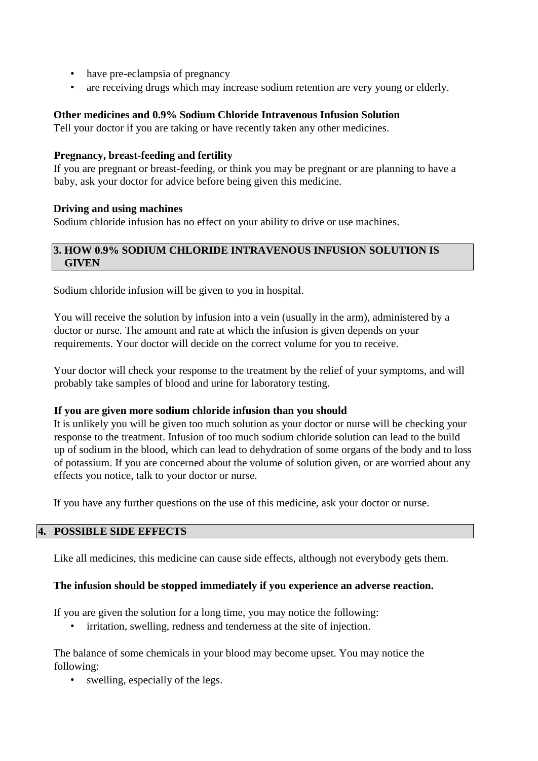- have pre-eclampsia of pregnancy
- are receiving drugs which may increase sodium retention are very young or elderly.

## **Other medicines and 0.9% Sodium Chloride Intravenous Infusion Solution**

Tell your doctor if you are taking or have recently taken any other medicines.

## **Pregnancy, breast-feeding and fertility**

If you are pregnant or breast-feeding, or think you may be pregnant or are planning to have a baby, ask your doctor for advice before being given this medicine.

## **Driving and using machines**

Sodium chloride infusion has no effect on your ability to drive or use machines.

## **3. HOW 0.9% SODIUM CHLORIDE INTRAVENOUS INFUSION SOLUTION IS GIVEN**

Sodium chloride infusion will be given to you in hospital.

You will receive the solution by infusion into a vein (usually in the arm), administered by a doctor or nurse. The amount and rate at which the infusion is given depends on your requirements. Your doctor will decide on the correct volume for you to receive.

Your doctor will check your response to the treatment by the relief of your symptoms, and will probably take samples of blood and urine for laboratory testing.

#### **If you are given more sodium chloride infusion than you should**

It is unlikely you will be given too much solution as your doctor or nurse will be checking your response to the treatment. Infusion of too much sodium chloride solution can lead to the build up of sodium in the blood, which can lead to dehydration of some organs of the body and to loss of potassium. If you are concerned about the volume of solution given, or are worried about any effects you notice, talk to your doctor or nurse.

If you have any further questions on the use of this medicine, ask your doctor or nurse.

## **4. POSSIBLE SIDE EFFECTS**

Like all medicines, this medicine can cause side effects, although not everybody gets them.

#### **The infusion should be stopped immediately if you experience an adverse reaction.**

If you are given the solution for a long time, you may notice the following:

• irritation, swelling, redness and tenderness at the site of injection.

The balance of some chemicals in your blood may become upset. You may notice the following:

• swelling, especially of the legs.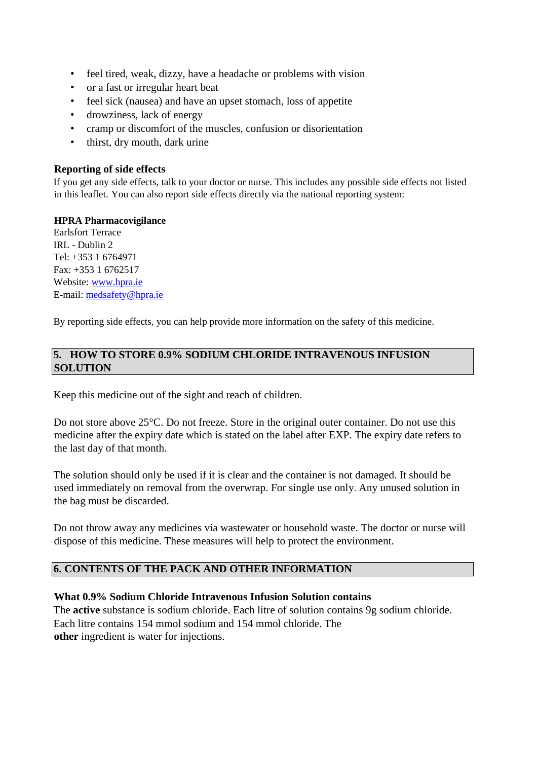- feel tired, weak, dizzy, have a headache or problems with vision
- or a fast or irregular heart beat
- feel sick (nausea) and have an upset stomach, loss of appetite
- drowziness, lack of energy
- cramp or discomfort of the muscles, confusion or disorientation
- thirst, dry mouth, dark urine

#### **Reporting of side effects**

If you get any side effects, talk to your doctor or nurse. This includes any possible side effects not listed in this leaflet. You can also report side effects directly via the national reporting system:

#### **HPRA Pharmacovigilance**

Earlsfort Terrace IRL - Dublin 2 Tel: +353 1 6764971 Fax: +353 1 6762517 Website: [www.hpra.ie](http://www.hpra.ie/) E-mail: medsafety@hpra.ie

By reporting side effects, you can help provide more information on the safety of this medicine.

## **5. HOW TO STORE 0.9% SODIUM CHLORIDE INTRAVENOUS INFUSION SOLUTION**

Keep this medicine out of the sight and reach of children.

Do not store above 25°C. Do not freeze. Store in the original outer container. Do not use this medicine after the expiry date which is stated on the label after EXP. The expiry date refers to the last day of that month.

The solution should only be used if it is clear and the container is not damaged. It should be used immediately on removal from the overwrap. For single use only. Any unused solution in the bag must be discarded.

Do not throw away any medicines via wastewater or household waste. The doctor or nurse will dispose of this medicine. These measures will help to protect the environment.

## **6. CONTENTS OF THE PACK AND OTHER INFORMATION**

#### **What 0.9% Sodium Chloride Intravenous Infusion Solution contains**

The **active** substance is sodium chloride. Each litre of solution contains 9g sodium chloride. Each litre contains 154 mmol sodium and 154 mmol chloride. The **other** ingredient is water for injections.